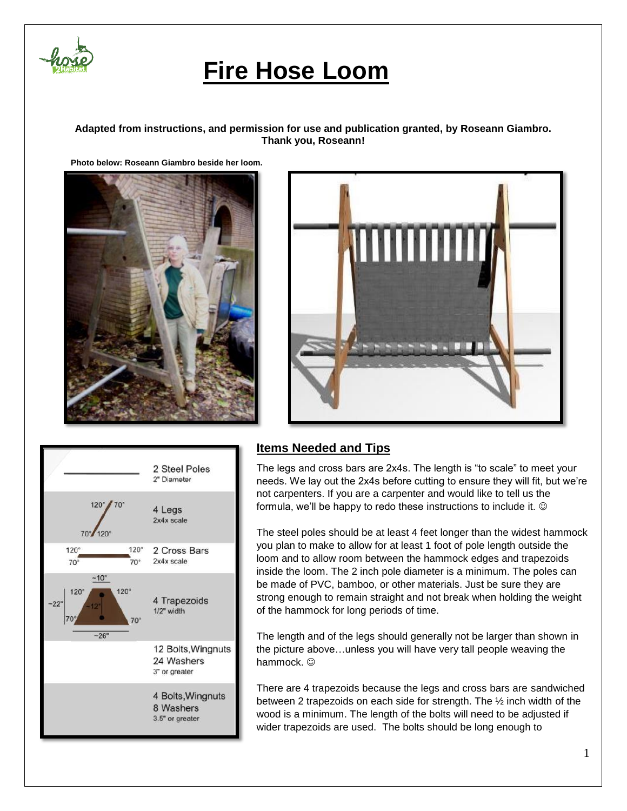

# **Fire Hose Loom**

#### **Adapted from instructions, and permission for use and publication granted, by Roseann Giambro. Thank you, Roseann!**

 **Photo below: Roseann Giambro beside her loom.**







### **Items Needed and Tips**

The legs and cross bars are 2x4s. The length is "to scale" to meet your needs. We lay out the 2x4s before cutting to ensure they will fit, but we're not carpenters. If you are a carpenter and would like to tell us the formula, we'll be happy to redo these instructions to include it.

The steel poles should be at least 4 feet longer than the widest hammock you plan to make to allow for at least 1 foot of pole length outside the loom and to allow room between the hammock edges and trapezoids inside the loom. The 2 inch pole diameter is a minimum. The poles can be made of PVC, bamboo, or other materials. Just be sure they are strong enough to remain straight and not break when holding the weight of the hammock for long periods of time.

The length and of the legs should generally not be larger than shown in the picture above…unless you will have very tall people weaving the hammock.  $\odot$ 

There are 4 trapezoids because the legs and cross bars are sandwiched between 2 trapezoids on each side for strength. The ½ inch width of the wood is a minimum. The length of the bolts will need to be adjusted if wider trapezoids are used. The bolts should be long enough to